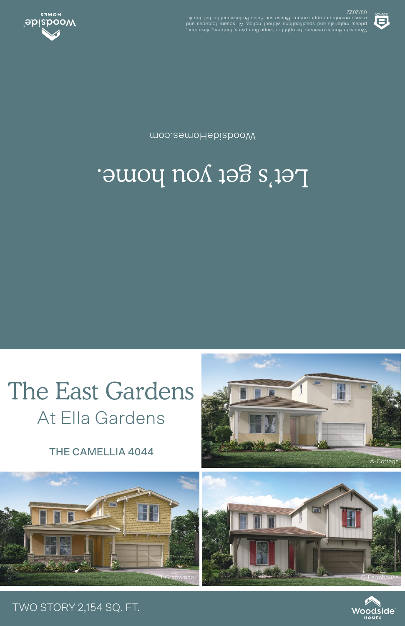## THE CAMELLIA 4044

At Ella Gardens



## Let's get you home.

moo.eemoHebiabooW



03/2022 .elisteb llut tot lanoiszetot9 zels2 ees essel9 .etamixotqqs ets stnemetussem Woodside Homes reserves the indicational dependence of language and contages and contage and contage and conta<br>prices, materials and specifications which notice. All square footages and



## TWO STORY 2,154 SQ. FT.